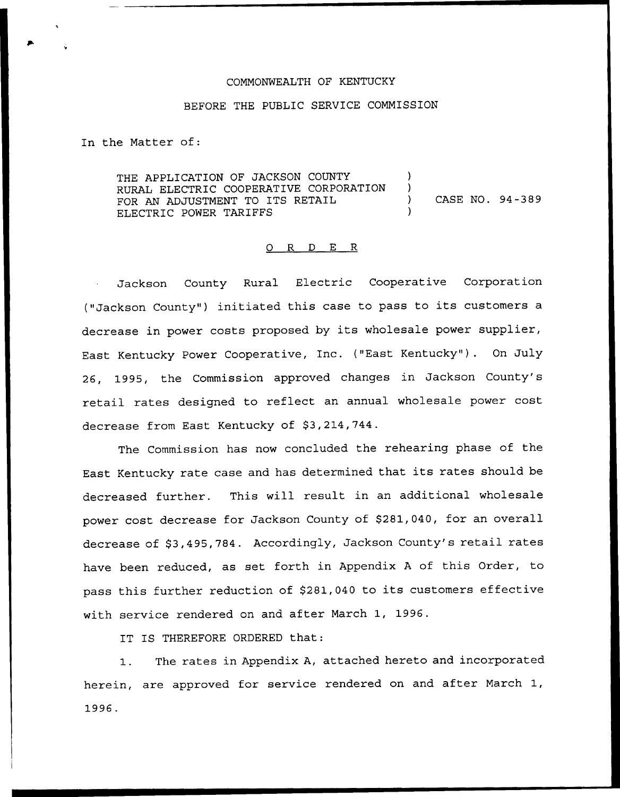### COMMONWEALTH OF KENTUCKY

#### BEFORE THE PUBLIC SERVICE COMMISSION

In the Matter of:

THE APPLICATION OF JACKSON COUNTY RURAL ELECTRIC COOPERATIVE CORPORATION FOR AN ADJUSTMENT TO ITS RETAIL ELECTRIC POWER TARIFFS ) ) ) CASE NO. 94-389 )

#### 0 R <sup>D</sup> E R

Jackson County Rural Electric Cooperative Corporation ("Jackson County") initiated this case to pass to its customers a decrease in power costs proposed by its wholesale power supplier, East Kentucky Power Cooperative, Inc. ("East Kentucky" ). On July 26, 1995, the Commission approved changes in Jackson County's retail rates designed to reflect an annual wholesale power cost decrease from East Kentucky of \$3,214,744.

The Commission has now concluded the rehearing phase of the East Kentucky rate case and has determined that its rates should be decreased further. This will result in an additional wholesale power cost decrease for Jackson County of \$281,040, for an overall decrease of \$3,495,784. Accordingly, Jackson County's retail rates have been reduced, as set forth in Appendix <sup>A</sup> of this Order, to pass this further reduction of \$281,040 to its customers effective with service rendered on and after March 1, 1996.

IT IS THEREFORE ORDERED that:

1. The rates in Appendix A, attached hereto and incorporated herein, are approved for service rendered on and after March 1, 1996.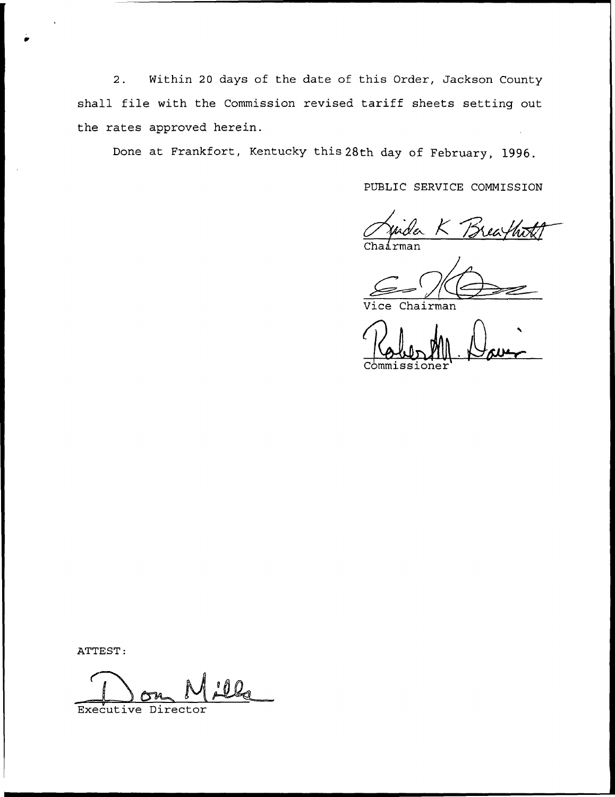2. Within 20 days of the date of this Order, Jackson County shall file with the Commission revised tariff sheets setting out the rates approved herein.

Done at Frankfort, Kentucky this 28th day of February, 1996.

PUBLIC SERVICE COMMISSION

Juida K Brea

Chairman

Commissioner

ATTEST:

Executive Director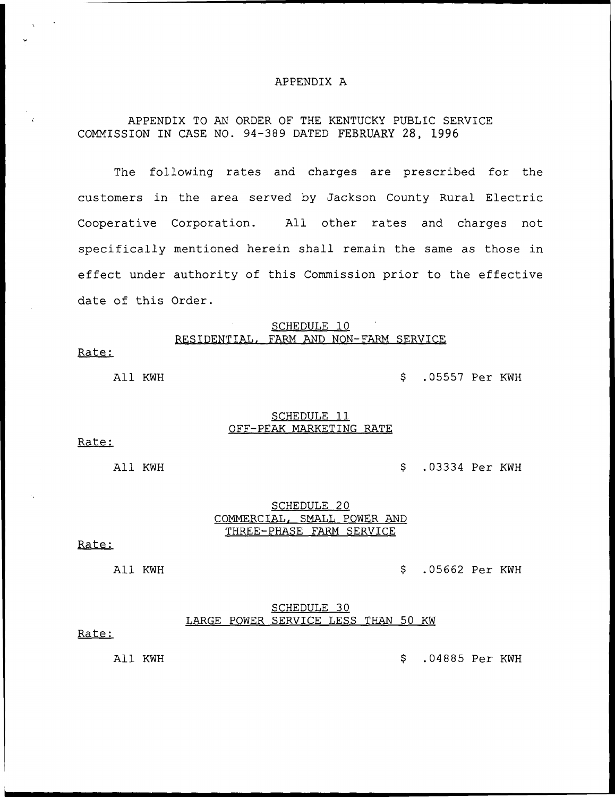#### APPENDIX A

# APPENDIX TO AN ORDER OF THE KENTUCKY PUBLIC SERVICE COMMISSION IN CASE NO. 94-389 DATED FEBRUARY 28, 1996

The following rates and charges are prescribed for the customers in the area served by Jackson County Rural Electric Cooperative Corporation. All other rates and charges not specifically mentioned herein shall remain the same as those in effect under authority of this Commission prior to the effective date of this Order.

### SCHEDULE 10 RESIDENTIAL, FARM AND NON-FARM SERVICE

Rate:

All KWH .05557 Per KWH

#### SCHEDULE<sub>11</sub> OFF-PEAK MARKETING RATE

Rate:

All KWH .03334 Per KWH

### SCHEDULE<sub>20</sub> COMMERCIAL, SMALL POWER AND THREE-PHASE FARM SERVICE

#### Rate:

All KWH .05662 Per KWH

#### SCHEDULE 30 LARGE POWER SERVICE LESS THAN 50 KW

#### Rate:

All KWH .04885 Per KWH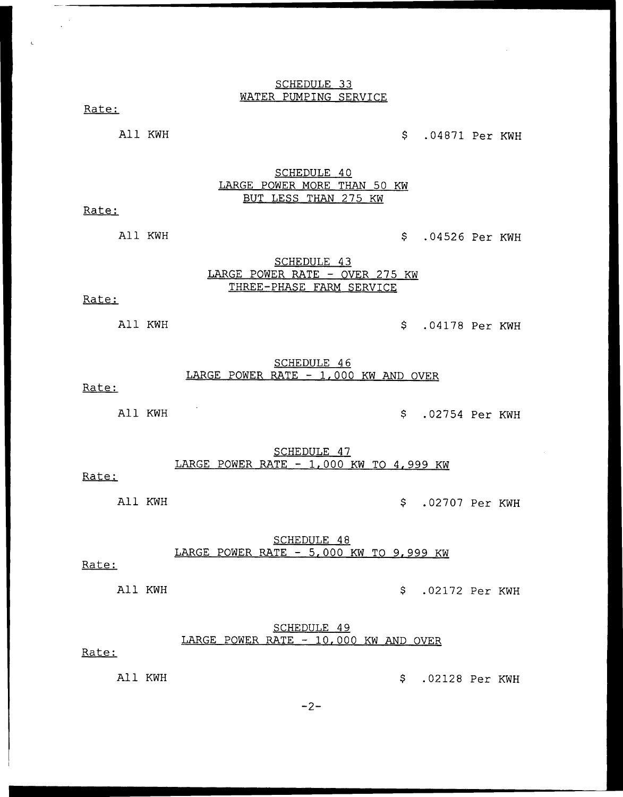### SCHEDULE 33 WATER PUMPING SERVICE

Rate:

All KWH  $\sim$  .04871 Per KWH

SCHEDULE 40 LARGE POWER MORE THAN 50 KW BUT LESS THAN 275 KW

Rate:

All KWH  $$ 04526$  Per KWH

# SCHEDULE 43 LARGE POWER RATE — OVER 275 KW THREE-PHASE FARM SERVICE

### Rate:

All KWH  $\sim$  .04178 Per KWH

### SCHEDULE 46 LARGE POWER RATE - 1,000 KW AND OVER

### Rate:

All KWH  $\sim$  .02754 Per KWH

SCHEDULE 47 LARGE POWER RATE — 1, 000 KW TO 4, 999 KW

### Rate:

All KWH  $\sim$  .02707 Per KWH

# SCHEDULE 48 LARGE POWER RATE - 5,000 KW TO 9,999 KW

### Rate:

All KWH  $\sim$  .02172 Per KWH

# SCHEDULE 49 LARGE POWER RATE — 10,000 KW AND OVER

# Rate:

All KWH .02128 Per KWH

 $-2-$